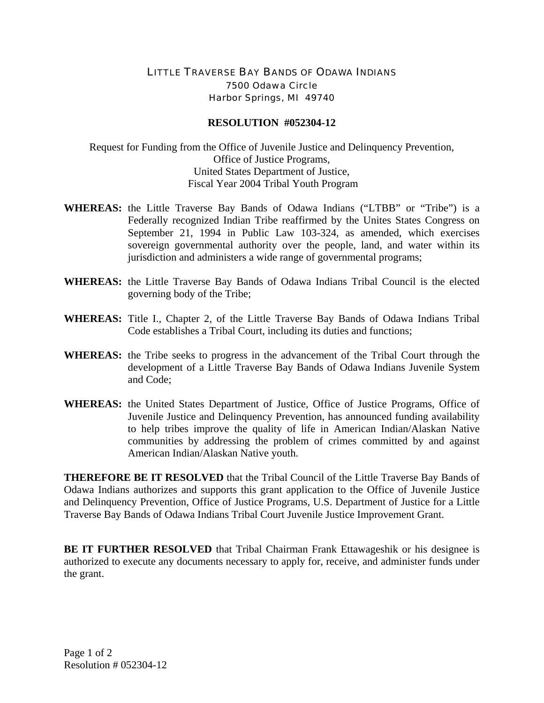## LITTLE TRAVERSE BAY BANDS OF ODAWA INDIANS 7500 Odawa Circle Harbor Springs, MI 49740

## **RESOLUTION #052304-12**

Request for Funding from the Office of Juvenile Justice and Delinquency Prevention, Office of Justice Programs, United States Department of Justice, Fiscal Year 2004 Tribal Youth Program

- **WHEREAS:** the Little Traverse Bay Bands of Odawa Indians ("LTBB" or "Tribe") is a Federally recognized Indian Tribe reaffirmed by the Unites States Congress on September 21, 1994 in Public Law 103-324, as amended, which exercises sovereign governmental authority over the people, land, and water within its jurisdiction and administers a wide range of governmental programs;
- **WHEREAS:** the Little Traverse Bay Bands of Odawa Indians Tribal Council is the elected governing body of the Tribe;
- **WHEREAS:** Title I., Chapter 2, of the Little Traverse Bay Bands of Odawa Indians Tribal Code establishes a Tribal Court, including its duties and functions;
- **WHEREAS:** the Tribe seeks to progress in the advancement of the Tribal Court through the development of a Little Traverse Bay Bands of Odawa Indians Juvenile System and Code;
- **WHEREAS:** the United States Department of Justice, Office of Justice Programs, Office of Juvenile Justice and Delinquency Prevention, has announced funding availability to help tribes improve the quality of life in American Indian/Alaskan Native communities by addressing the problem of crimes committed by and against American Indian/Alaskan Native youth.

**THEREFORE BE IT RESOLVED** that the Tribal Council of the Little Traverse Bay Bands of Odawa Indians authorizes and supports this grant application to the Office of Juvenile Justice and Delinquency Prevention, Office of Justice Programs, U.S. Department of Justice for a Little Traverse Bay Bands of Odawa Indians Tribal Court Juvenile Justice Improvement Grant.

**BE IT FURTHER RESOLVED** that Tribal Chairman Frank Ettawageshik or his designee is authorized to execute any documents necessary to apply for, receive, and administer funds under the grant.